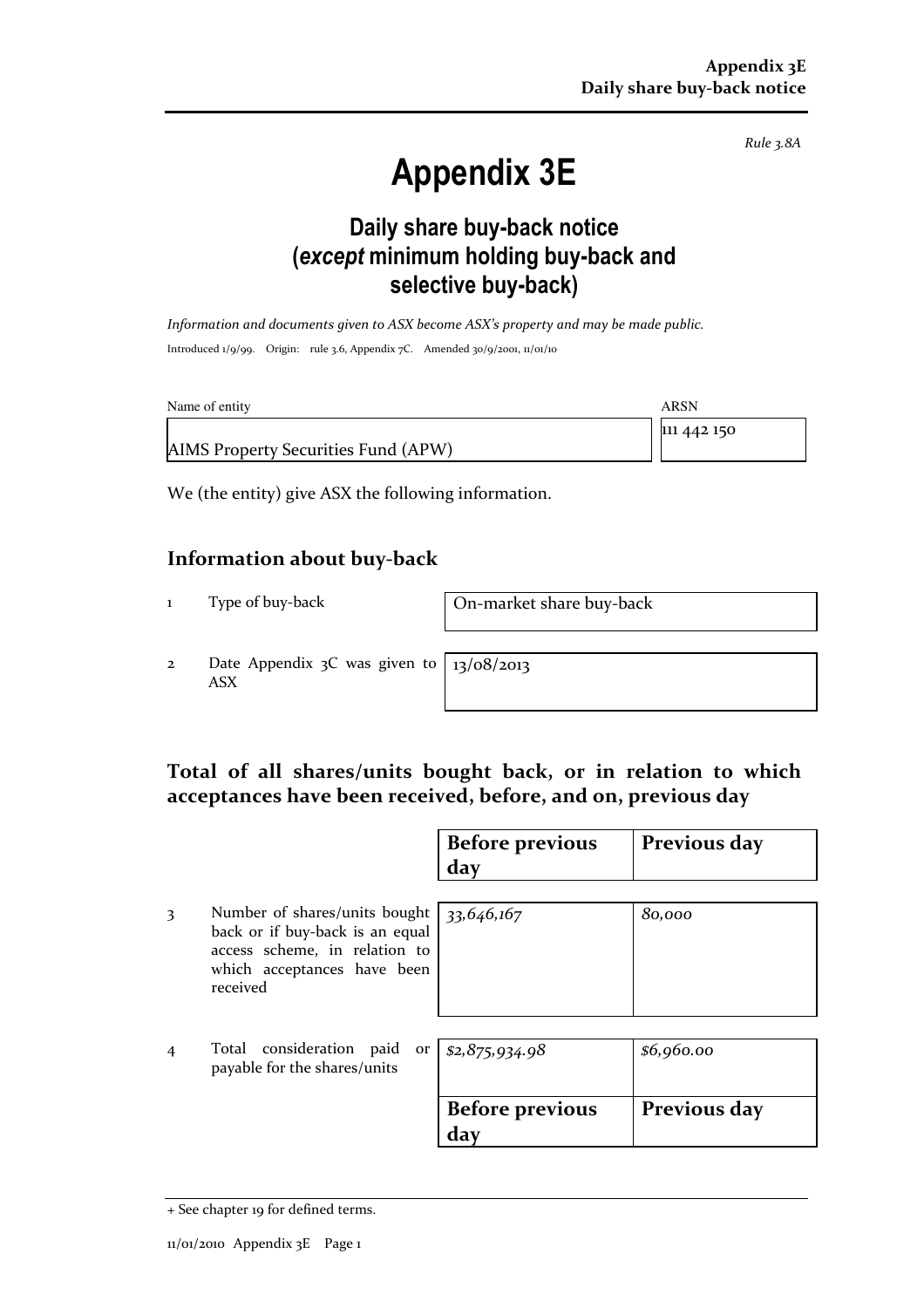Rule 3.8A

# Appendix 3E

### Daily share buy-back notice (except minimum holding buy-back and selective buy-back)

Information and documents given to ASX become ASX's property and may be made public. Introduced 1/9/99. Origin: rule 3.6, Appendix 7C. Amended 30/9/2001, 11/01/10

| Name of entity                      | ARSN        |
|-------------------------------------|-------------|
|                                     | 111 442 150 |
| AIMS Property Securities Fund (APW) |             |

We (the entity) give ASX the following information.

#### Information about buy-back

1 Type of buy-back On-market share buy-back

2 Date Appendix 3C was given to ASX

13/08/2013

#### Total of all shares/units bought back, or in relation to which acceptances have been received, before, and on, previous day

|                |                                                                                                                                              | <b>Before previous</b><br>day | Previous day |
|----------------|----------------------------------------------------------------------------------------------------------------------------------------------|-------------------------------|--------------|
| 3              | Number of shares/units bought<br>back or if buy-back is an equal<br>access scheme, in relation to<br>which acceptances have been<br>received | 33,646,167                    | 80,000       |
| $\overline{4}$ | Total consideration paid<br>payable for the shares/units                                                                                     | or $ $ \$2,875,934.98         | \$6,960.00   |
|                |                                                                                                                                              | <b>Before previous</b><br>day | Previous day |

<sup>+</sup> See chapter 19 for defined terms.